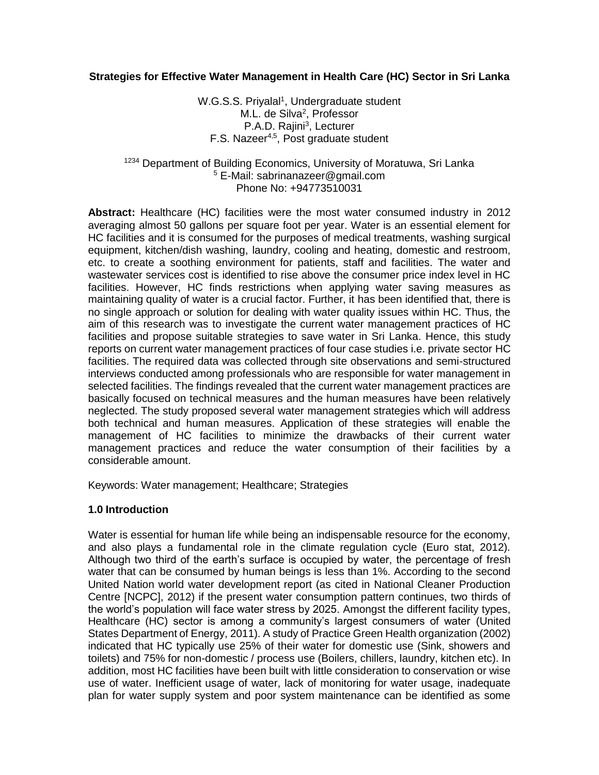## **Strategies for Effective Water Management in Health Care (HC) Sector in Sri Lanka**

W.G.S.S. Priyalal<sup>1</sup>, Undergraduate student M.L. de Silva<sup>2</sup>, Professor P.A.D. Rajini<sup>3</sup>, Lecturer F.S. Nazeer<sup>4,5</sup>, Post graduate student

### <sup>1234</sup> Department of Building Economics, University of Moratuwa, Sri Lanka <sup>5</sup> E-Mail: [sabrinanazeer@gmail.com](mailto:sabrinanazeer@gmail.com) Phone No: +94773510031

**Abstract:** Healthcare (HC) facilities were the most water consumed industry in 2012 averaging almost 50 gallons per square foot per year. Water is an essential element for HC facilities and it is consumed for the purposes of medical treatments, washing surgical equipment, kitchen/dish washing, laundry, cooling and heating, domestic and restroom, etc. to create a soothing environment for patients, staff and facilities. The water and wastewater services cost is identified to rise above the consumer price index level in HC facilities. However, HC finds restrictions when applying water saving measures as maintaining quality of water is a crucial factor. Further, it has been identified that, there is no single approach or solution for dealing with water quality issues within HC. Thus, the aim of this research was to investigate the current water management practices of HC facilities and propose suitable strategies to save water in Sri Lanka. Hence, this study reports on current water management practices of four case studies i.e. private sector HC facilities. The required data was collected through site observations and semi-structured interviews conducted among professionals who are responsible for water management in selected facilities. The findings revealed that the current water management practices are basically focused on technical measures and the human measures have been relatively neglected. The study proposed several water management strategies which will address both technical and human measures. Application of these strategies will enable the management of HC facilities to minimize the drawbacks of their current water management practices and reduce the water consumption of their facilities by a considerable amount.

Keywords: Water management; Healthcare; Strategies

### **1.0 Introduction**

Water is essential for human life while being an indispensable resource for the economy, and also plays a fundamental role in the climate regulation cycle (Euro stat, 2012). Although two third of the earth's surface is occupied by water, the percentage of fresh water that can be consumed by human beings is less than 1%. According to the second United Nation world water development report (as cited in National Cleaner Production Centre [NCPC], 2012) if the present water consumption pattern continues, two thirds of the world's population will face water stress by 2025. Amongst the different facility types, Healthcare (HC) sector is among a community's largest consumers of water (United States Department of Energy, 2011). A study of Practice Green Health organization (2002) indicated that HC typically use 25% of their water for domestic use (Sink, showers and toilets) and 75% for non-domestic / process use (Boilers, chillers, laundry, kitchen etc). In addition, most HC facilities have been built with little consideration to conservation or wise use of water. Inefficient usage of water, lack of monitoring for water usage, inadequate plan for water supply system and poor system maintenance can be identified as some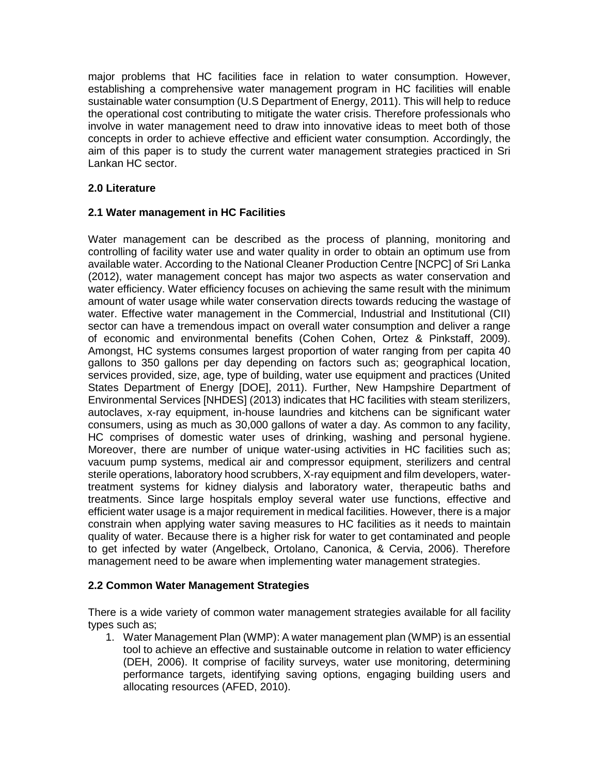major problems that HC facilities face in relation to water consumption. However, establishing a comprehensive water management program in HC facilities will enable sustainable water consumption (U.S Department of Energy, 2011). This will help to reduce the operational cost contributing to mitigate the water crisis. Therefore professionals who involve in water management need to draw into innovative ideas to meet both of those concepts in order to achieve effective and efficient water consumption. Accordingly, the aim of this paper is to study the current water management strategies practiced in Sri Lankan HC sector.

# **2.0 Literature**

## **2.1 Water management in HC Facilities**

Water management can be described as the process of planning, monitoring and controlling of facility water use and water quality in order to obtain an optimum use from available water. According to the National Cleaner Production Centre [NCPC] of Sri Lanka (2012), water management concept has major two aspects as water conservation and water efficiency. Water efficiency focuses on achieving the same result with the minimum amount of water usage while water conservation directs towards reducing the wastage of water. Effective water management in the Commercial, Industrial and Institutional (CII) sector can have a tremendous impact on overall water consumption and deliver a range of economic and environmental benefits (Cohen Cohen, Ortez & Pinkstaff, 2009). Amongst, HC systems consumes largest proportion of water ranging from per capita 40 gallons to 350 gallons per day depending on factors such as; geographical location, services provided, size, age, type of building, water use equipment and practices (United States Department of Energy [DOE], 2011). Further, New Hampshire Department of Environmental Services [NHDES] (2013) indicates that HC facilities with steam sterilizers, autoclaves, x-ray equipment, in-house laundries and kitchens can be significant water consumers, using as much as 30,000 gallons of water a day. As common to any facility, HC comprises of domestic water uses of drinking, washing and personal hygiene. Moreover, there are number of unique water-using activities in HC facilities such as; vacuum pump systems, medical air and compressor equipment, sterilizers and central sterile operations, laboratory hood scrubbers, X-ray equipment and film developers, watertreatment systems for kidney dialysis and laboratory water, therapeutic baths and treatments. Since large hospitals employ several water use functions, effective and efficient water usage is a major requirement in medical facilities. However, there is a major constrain when applying water saving measures to HC facilities as it needs to maintain quality of water. Because there is a higher risk for water to get contaminated and people to get infected by water (Angelbeck, Ortolano, Canonica, & Cervia, 2006). Therefore management need to be aware when implementing water management strategies.

### **2.2 Common Water Management Strategies**

There is a wide variety of common water management strategies available for all facility types such as;

1. Water Management Plan (WMP): A water management plan (WMP) is an essential tool to achieve an effective and sustainable outcome in relation to water efficiency (DEH, 2006). It comprise of facility surveys, water use monitoring, determining performance targets, identifying saving options, engaging building users and allocating resources (AFED, 2010).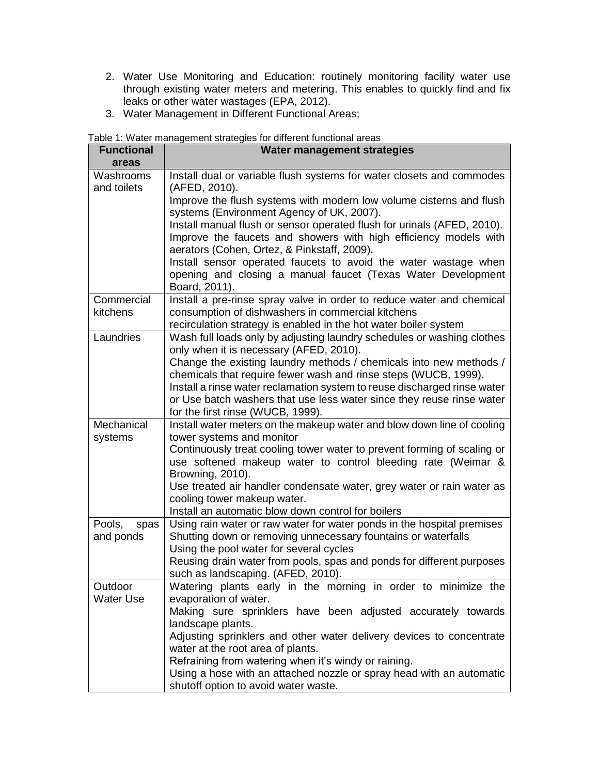- 2. Water Use Monitoring and Education: routinely monitoring facility water use through existing water meters and metering. This enables to quickly find and fix leaks or other water wastages (EPA, 2012).
- 3. Water Management in Different Functional Areas;

|                             | Table 1: Water management strategies for different functional areas                                                                                                                            |  |  |  |  |
|-----------------------------|------------------------------------------------------------------------------------------------------------------------------------------------------------------------------------------------|--|--|--|--|
| <b>Functional</b><br>areas  | Water management strategies                                                                                                                                                                    |  |  |  |  |
| Washrooms<br>and toilets    | Install dual or variable flush systems for water closets and commodes<br>(AFED, 2010).                                                                                                         |  |  |  |  |
|                             | Improve the flush systems with modern low volume cisterns and flush<br>systems (Environment Agency of UK, 2007).<br>Install manual flush or sensor operated flush for urinals (AFED, 2010).    |  |  |  |  |
|                             | Improve the faucets and showers with high efficiency models with<br>aerators (Cohen, Ortez, & Pinkstaff, 2009).                                                                                |  |  |  |  |
|                             | Install sensor operated faucets to avoid the water wastage when<br>opening and closing a manual faucet (Texas Water Development<br>Board, 2011).                                               |  |  |  |  |
| Commercial<br>kitchens      | Install a pre-rinse spray valve in order to reduce water and chemical<br>consumption of dishwashers in commercial kitchens<br>recirculation strategy is enabled in the hot water boiler system |  |  |  |  |
| Laundries                   | Wash full loads only by adjusting laundry schedules or washing clothes<br>only when it is necessary (AFED, 2010).                                                                              |  |  |  |  |
|                             | Change the existing laundry methods / chemicals into new methods /<br>chemicals that require fewer wash and rinse steps (WUCB, 1999).                                                          |  |  |  |  |
|                             | Install a rinse water reclamation system to reuse discharged rinse water<br>or Use batch washers that use less water since they reuse rinse water                                              |  |  |  |  |
|                             | for the first rinse (WUCB, 1999).                                                                                                                                                              |  |  |  |  |
| Mechanical<br>systems       | Install water meters on the makeup water and blow down line of cooling<br>tower systems and monitor                                                                                            |  |  |  |  |
|                             | Continuously treat cooling tower water to prevent forming of scaling or<br>use softened makeup water to control bleeding rate (Weimar &<br>Browning, 2010).                                    |  |  |  |  |
|                             | Use treated air handler condensate water, grey water or rain water as<br>cooling tower makeup water.                                                                                           |  |  |  |  |
|                             | Install an automatic blow down control for boilers                                                                                                                                             |  |  |  |  |
| Pools,<br>spas<br>and ponds | Using rain water or raw water for water ponds in the hospital premises<br>Shutting down or removing unnecessary fountains or waterfalls                                                        |  |  |  |  |
|                             | Using the pool water for several cycles<br>Reusing drain water from pools, spas and ponds for different purposes<br>such as landscaping. (AFED, 2010).                                         |  |  |  |  |
| Outdoor                     | Watering plants early in the morning in order to minimize the                                                                                                                                  |  |  |  |  |
| <b>Water Use</b>            | evaporation of water.                                                                                                                                                                          |  |  |  |  |
|                             | Making sure sprinklers have been adjusted accurately towards                                                                                                                                   |  |  |  |  |
|                             | landscape plants.<br>Adjusting sprinklers and other water delivery devices to concentrate                                                                                                      |  |  |  |  |
|                             | water at the root area of plants.                                                                                                                                                              |  |  |  |  |
|                             | Refraining from watering when it's windy or raining.                                                                                                                                           |  |  |  |  |
|                             | Using a hose with an attached nozzle or spray head with an automatic<br>shutoff option to avoid water waste.                                                                                   |  |  |  |  |

Table 1: Water management strategies for different functional areas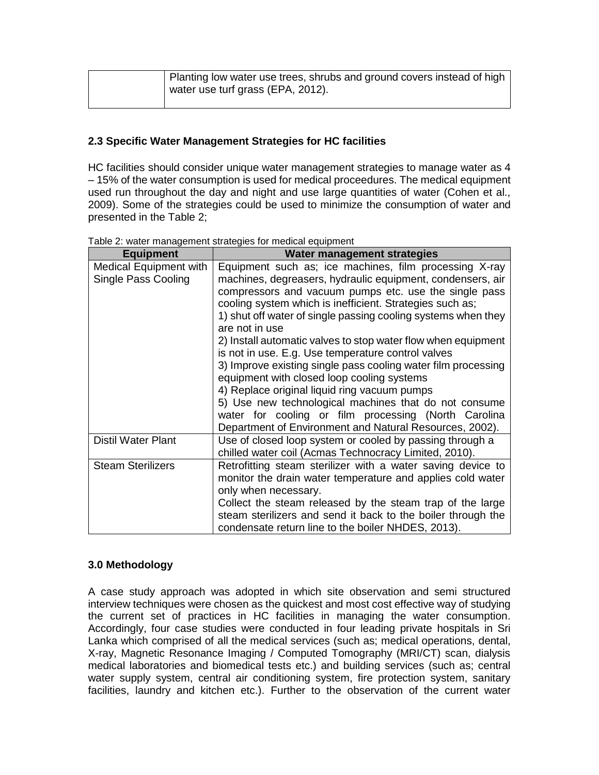| Planting low water use trees, shrubs and ground covers instead of high<br>water use turf grass (EPA, 2012). |
|-------------------------------------------------------------------------------------------------------------|
|                                                                                                             |

# **2.3 Specific Water Management Strategies for HC facilities**

HC facilities should consider unique water management strategies to manage water as 4 – 15% of the water consumption is used for medical proceedures. The medical equipment used run throughout the day and night and use large quantities of water (Cohen et al., 2009). Some of the strategies could be used to minimize the consumption of water and presented in the Table 2;

| <b>Equipment</b>                                     | <b>Water management strategies</b>                                                                                                                                                                                                                                                                                                                                                                                                                                                                                                                                                                                                                                          |
|------------------------------------------------------|-----------------------------------------------------------------------------------------------------------------------------------------------------------------------------------------------------------------------------------------------------------------------------------------------------------------------------------------------------------------------------------------------------------------------------------------------------------------------------------------------------------------------------------------------------------------------------------------------------------------------------------------------------------------------------|
| <b>Medical Equipment with</b><br>Single Pass Cooling | Equipment such as; ice machines, film processing X-ray<br>machines, degreasers, hydraulic equipment, condensers, air<br>compressors and vacuum pumps etc. use the single pass<br>cooling system which is inefficient. Strategies such as;<br>1) shut off water of single passing cooling systems when they<br>are not in use<br>2) Install automatic valves to stop water flow when equipment<br>is not in use. E.g. Use temperature control valves<br>3) Improve existing single pass cooling water film processing<br>equipment with closed loop cooling systems<br>4) Replace original liquid ring vacuum pumps<br>5) Use new technological machines that do not consume |
|                                                      | water for cooling or film processing (North Carolina<br>Department of Environment and Natural Resources, 2002).                                                                                                                                                                                                                                                                                                                                                                                                                                                                                                                                                             |
| <b>Distil Water Plant</b>                            | Use of closed loop system or cooled by passing through a<br>chilled water coil (Acmas Technocracy Limited, 2010).                                                                                                                                                                                                                                                                                                                                                                                                                                                                                                                                                           |
| <b>Steam Sterilizers</b>                             | Retrofitting steam sterilizer with a water saving device to<br>monitor the drain water temperature and applies cold water<br>only when necessary.<br>Collect the steam released by the steam trap of the large<br>steam sterilizers and send it back to the boiler through the<br>condensate return line to the boiler NHDES, 2013).                                                                                                                                                                                                                                                                                                                                        |

Table 2: water management strategies for medical equipment

# **3.0 Methodology**

A case study approach was adopted in which site observation and semi structured interview techniques were chosen as the quickest and most cost effective way of studying the current set of practices in HC facilities in managing the water consumption. Accordingly, four case studies were conducted in four leading private hospitals in Sri Lanka which comprised of all the medical services (such as; medical operations, dental, X-ray, Magnetic Resonance Imaging / Computed Tomography (MRI/CT) scan, dialysis medical laboratories and biomedical tests etc.) and building services (such as; central water supply system, central air conditioning system, fire protection system, sanitary facilities, laundry and kitchen etc.). Further to the observation of the current water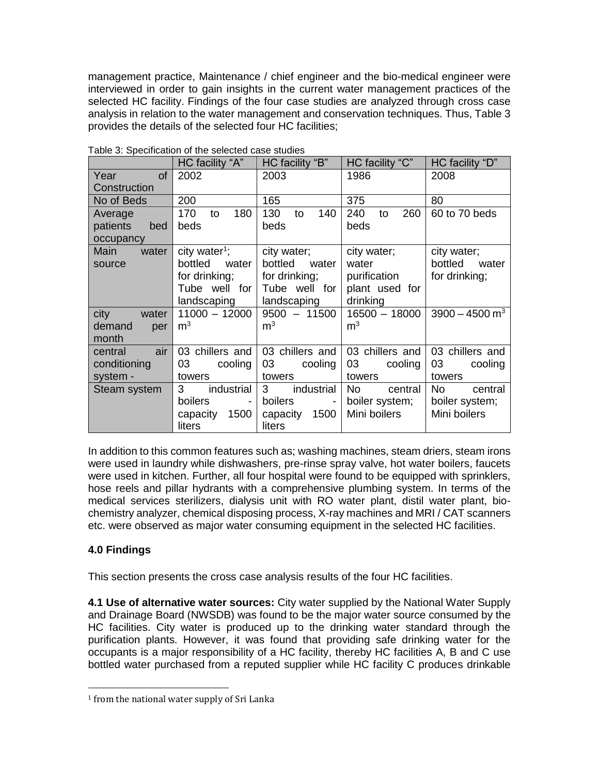management practice, Maintenance / chief engineer and the bio-medical engineer were interviewed in order to gain insights in the current water management practices of the selected HC facility. Findings of the four case studies are analyzed through cross case analysis in relation to the water management and conservation techniques. Thus, Table 3 provides the details of the selected four HC facilities;

|                 | HC facility "A"                            | HC facility "B"              | HC facility "C"  | HC facility "D"              |  |  |
|-----------------|--------------------------------------------|------------------------------|------------------|------------------------------|--|--|
| of<br>Year      | 2002                                       | 2003                         | 1986             | 2008                         |  |  |
| Construction    |                                            |                              |                  |                              |  |  |
| No of Beds      | 200                                        | 165                          | 375              | 80                           |  |  |
| Average         | 180<br>170<br>to                           | 130<br>140<br>to             | 260<br>240<br>to | 60 to 70 beds                |  |  |
| patients<br>bed | beds                                       | beds                         | beds             |                              |  |  |
| occupancy       |                                            |                              |                  |                              |  |  |
| water<br>Main   | city water <sup>1</sup> ;                  | city water;                  | city water;      | city water;                  |  |  |
| source          | bottled<br>water                           | bottled<br>water             | water            | bottled<br>water             |  |  |
|                 | for drinking;                              | for drinking;                | purification     | for drinking;                |  |  |
|                 | Tube well for                              | Tube well for                | plant used for   |                              |  |  |
|                 | landscaping                                | landscaping                  | drinking         |                              |  |  |
| city<br>water   | $11000 - 12000$                            | $9500 - 11500$               | $16500 - 18000$  | $3900 - 4500$ m <sup>3</sup> |  |  |
| demand<br>per   | m <sup>3</sup>                             | m <sup>3</sup>               | m <sup>3</sup>   |                              |  |  |
| month           |                                            |                              |                  |                              |  |  |
| air<br>central  | 03 chillers and                            | 03 chillers and              | 03 chillers and  | 03 chillers and              |  |  |
| conditioning    | 03<br>cooling                              | 03<br>cooling                | 03<br>cooling    | 03<br>cooling                |  |  |
| system -        | towers                                     | towers                       | towers           | towers                       |  |  |
| Steam system    | 3<br>industrial                            | 3 <sup>1</sup><br>industrial | No.<br>central   | No.<br>central               |  |  |
|                 | <b>boilers</b><br>$\overline{\phantom{a}}$ | boilers                      | boiler system;   | boiler system;               |  |  |
|                 | 1500<br>capacity                           | 1500<br>capacity             | Mini boilers     | Mini boilers                 |  |  |
|                 | liters                                     | liters                       |                  |                              |  |  |

Table 3: Specification of the selected case studies

In addition to this common features such as; washing machines, steam driers, steam irons were used in laundry while dishwashers, pre-rinse spray valve, hot water boilers, faucets were used in kitchen. Further, all four hospital were found to be equipped with sprinklers, hose reels and pillar hydrants with a comprehensive plumbing system. In terms of the medical services sterilizers, dialysis unit with RO water plant, distil water plant, biochemistry analyzer, chemical disposing process, X-ray machines and MRI / CAT scanners etc. were observed as major water consuming equipment in the selected HC facilities.

# **4.0 Findings**

l

This section presents the cross case analysis results of the four HC facilities.

**4.1 Use of alternative water sources:** City water supplied by the National Water Supply and Drainage Board (NWSDB) was found to be the major water source consumed by the HC facilities. City water is produced up to the drinking water standard through the purification plants. However, it was found that providing safe drinking water for the occupants is a major responsibility of a HC facility, thereby HC facilities A, B and C use bottled water purchased from a reputed supplier while HC facility C produces drinkable

<sup>1</sup> from the national water supply of Sri Lanka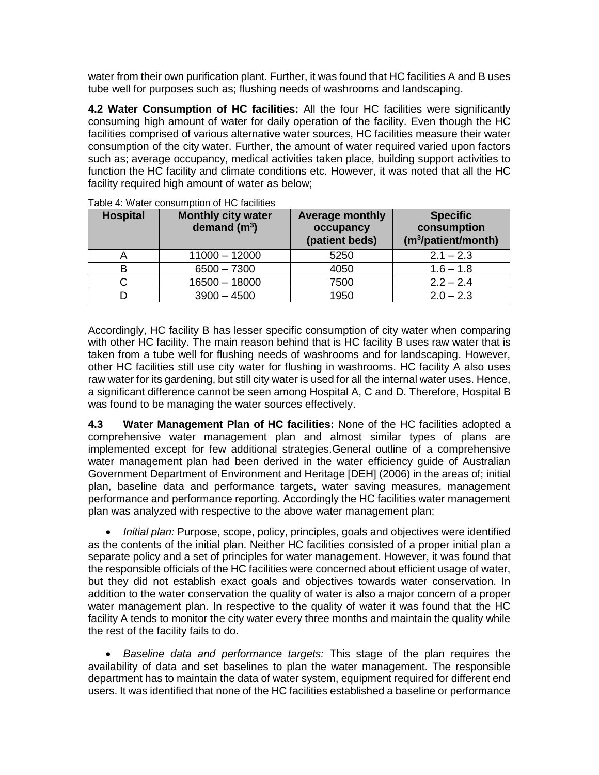water from their own purification plant. Further, it was found that HC facilities A and B uses tube well for purposes such as; flushing needs of washrooms and landscaping.

**4.2 Water Consumption of HC facilities:** All the four HC facilities were significantly consuming high amount of water for daily operation of the facility. Even though the HC facilities comprised of various alternative water sources, HC facilities measure their water consumption of the city water. Further, the amount of water required varied upon factors such as; average occupancy, medical activities taken place, building support activities to function the HC facility and climate conditions etc. However, it was noted that all the HC facility required high amount of water as below;

| <b>Hospital</b> | <b>Monthly city water</b><br>demand $(m^3)$ | <b>Average monthly</b><br>occupancy<br>(patient beds) | <b>Specific</b><br>consumption<br>(m <sup>3</sup> /patient/month) |
|-----------------|---------------------------------------------|-------------------------------------------------------|-------------------------------------------------------------------|
| A               | $11000 - 12000$                             | 5250                                                  | $2.1 - 2.3$                                                       |
| в               | $6500 - 7300$                               | 4050                                                  | $1.6 - 1.8$                                                       |
| С               | $16500 - 18000$                             | 7500                                                  | $2.2 - 2.4$                                                       |
| D               | $3900 - 4500$                               | 1950                                                  | $2.0 - 2.3$                                                       |

Table 4: Water consumption of HC facilities

Accordingly, HC facility B has lesser specific consumption of city water when comparing with other HC facility. The main reason behind that is HC facility B uses raw water that is taken from a tube well for flushing needs of washrooms and for landscaping. However, other HC facilities still use city water for flushing in washrooms. HC facility A also uses raw water for its gardening, but still city water is used for all the internal water uses. Hence, a significant difference cannot be seen among Hospital A, C and D. Therefore, Hospital B was found to be managing the water sources effectively.

**4.3 Water Management Plan of HC facilities:** None of the HC facilities adopted a comprehensive water management plan and almost similar types of plans are implemented except for few additional strategies.General outline of a comprehensive water management plan had been derived in the water efficiency guide of Australian Government Department of Environment and Heritage [DEH] (2006) in the areas of; initial plan, baseline data and performance targets, water saving measures, management performance and performance reporting. Accordingly the HC facilities water management plan was analyzed with respective to the above water management plan;

 *Initial plan:* Purpose, scope, policy, principles, goals and objectives were identified as the contents of the initial plan. Neither HC facilities consisted of a proper initial plan a separate policy and a set of principles for water management. However, it was found that the responsible officials of the HC facilities were concerned about efficient usage of water, but they did not establish exact goals and objectives towards water conservation. In addition to the water conservation the quality of water is also a major concern of a proper water management plan. In respective to the quality of water it was found that the HC facility A tends to monitor the city water every three months and maintain the quality while the rest of the facility fails to do.

 *Baseline data and performance targets:* This stage of the plan requires the availability of data and set baselines to plan the water management. The responsible department has to maintain the data of water system, equipment required for different end users. It was identified that none of the HC facilities established a baseline or performance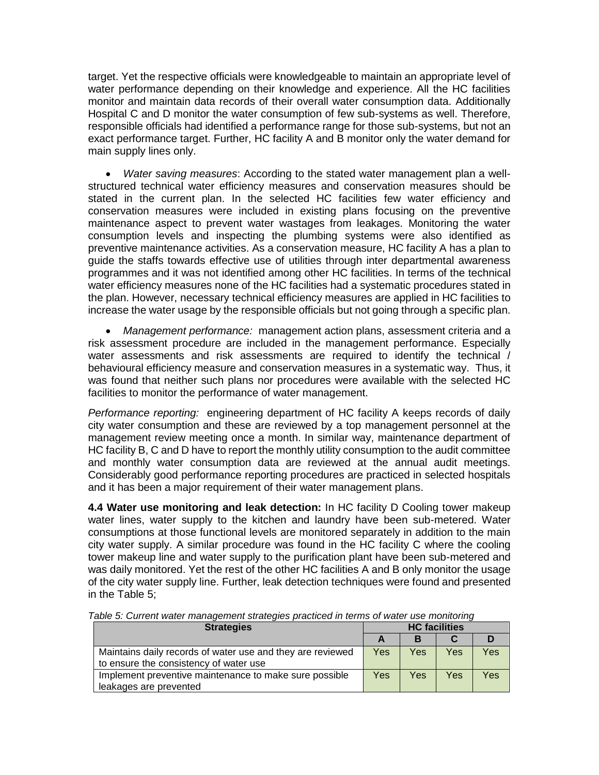target. Yet the respective officials were knowledgeable to maintain an appropriate level of water performance depending on their knowledge and experience. All the HC facilities monitor and maintain data records of their overall water consumption data. Additionally Hospital C and D monitor the water consumption of few sub-systems as well. Therefore, responsible officials had identified a performance range for those sub-systems, but not an exact performance target. Further, HC facility A and B monitor only the water demand for main supply lines only.

 *Water saving measures*: According to the stated water management plan a wellstructured technical water efficiency measures and conservation measures should be stated in the current plan. In the selected HC facilities few water efficiency and conservation measures were included in existing plans focusing on the preventive maintenance aspect to prevent water wastages from leakages. Monitoring the water consumption levels and inspecting the plumbing systems were also identified as preventive maintenance activities. As a conservation measure, HC facility A has a plan to guide the staffs towards effective use of utilities through inter departmental awareness programmes and it was not identified among other HC facilities. In terms of the technical water efficiency measures none of the HC facilities had a systematic procedures stated in the plan. However, necessary technical efficiency measures are applied in HC facilities to increase the water usage by the responsible officials but not going through a specific plan.

 *Management performance:* management action plans, assessment criteria and a risk assessment procedure are included in the management performance. Especially water assessments and risk assessments are required to identify the technical / behavioural efficiency measure and conservation measures in a systematic way. Thus, it was found that neither such plans nor procedures were available with the selected HC facilities to monitor the performance of water management.

*Performance reporting:* engineering department of HC facility A keeps records of daily city water consumption and these are reviewed by a top management personnel at the management review meeting once a month. In similar way, maintenance department of HC facility B, C and D have to report the monthly utility consumption to the audit committee and monthly water consumption data are reviewed at the annual audit meetings. Considerably good performance reporting procedures are practiced in selected hospitals and it has been a major requirement of their water management plans.

**4.4 Water use monitoring and leak detection:** In HC facility D Cooling tower makeup water lines, water supply to the kitchen and laundry have been sub-metered. Water consumptions at those functional levels are monitored separately in addition to the main city water supply. A similar procedure was found in the HC facility C where the cooling tower makeup line and water supply to the purification plant have been sub-metered and was daily monitored. Yet the rest of the other HC facilities A and B only monitor the usage of the city water supply line. Further, leak detection techniques were found and presented in the Table 5;

| <b>Strategies</b>                                                                                    | <b>HC</b> facilities |     |     |     |
|------------------------------------------------------------------------------------------------------|----------------------|-----|-----|-----|
|                                                                                                      |                      | в   |     |     |
| Maintains daily records of water use and they are reviewed<br>to ensure the consistency of water use | Yes                  | Yes | Yes | Yes |
| Implement preventive maintenance to make sure possible<br>leakages are prevented                     | Yes                  | Yes | Yes | Yes |

*Table 5: Current water management strategies practiced in terms of water use monitoring*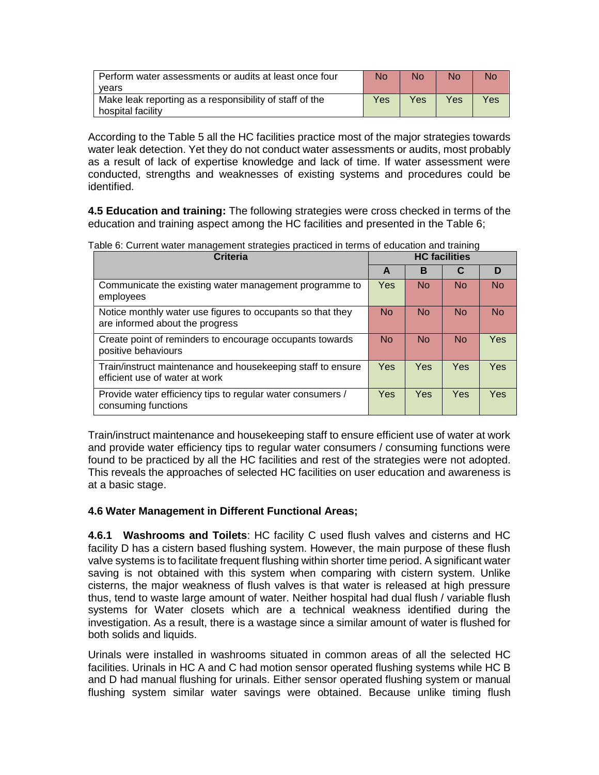| Perform water assessments or audits at least once four<br>vears              | No  | No  | No  | No  |
|------------------------------------------------------------------------------|-----|-----|-----|-----|
| Make leak reporting as a responsibility of staff of the<br>hospital facility | Yes | Yes | Yes | Yes |

According to the Table 5 all the HC facilities practice most of the major strategies towards water leak detection. Yet they do not conduct water assessments or audits, most probably as a result of lack of expertise knowledge and lack of time. If water assessment were conducted, strengths and weaknesses of existing systems and procedures could be identified.

**4.5 Education and training:** The following strategies were cross checked in terms of the education and training aspect among the HC facilities and presented in the Table 6;

| Table 6: Current water management strategies practiced in terms of education and training |  |  |  |  |
|-------------------------------------------------------------------------------------------|--|--|--|--|
|                                                                                           |  |  |  |  |

| Criteria                                                                                      |           | <b>HC</b> facilities |                |           |  |
|-----------------------------------------------------------------------------------------------|-----------|----------------------|----------------|-----------|--|
|                                                                                               | A         | в                    | С              | D         |  |
| Communicate the existing water management programme to<br>employees                           | Yes       | <b>No</b>            | <b>No</b>      | <b>No</b> |  |
| Notice monthly water use figures to occupants so that they<br>are informed about the progress | <b>No</b> | <b>No</b>            | N <sub>o</sub> | <b>No</b> |  |
| Create point of reminders to encourage occupants towards<br>positive behaviours               | <b>No</b> | <b>No</b>            | <b>No</b>      | Yes       |  |
| Train/instruct maintenance and housekeeping staff to ensure<br>efficient use of water at work | Yes       | Yes                  | <b>Yes</b>     | Yes       |  |
| Provide water efficiency tips to regular water consumers /<br>consuming functions             | Yes       | Yes                  | <b>Yes</b>     | Yes       |  |

Train/instruct maintenance and housekeeping staff to ensure efficient use of water at work and provide water efficiency tips to regular water consumers / consuming functions were found to be practiced by all the HC facilities and rest of the strategies were not adopted. This reveals the approaches of selected HC facilities on user education and awareness is at a basic stage.

### **4.6 Water Management in Different Functional Areas;**

**4.6.1 Washrooms and Toilets**: HC facility C used flush valves and cisterns and HC facility D has a cistern based flushing system. However, the main purpose of these flush valve systems is to facilitate frequent flushing within shorter time period. A significant water saving is not obtained with this system when comparing with cistern system. Unlike cisterns, the major weakness of flush valves is that water is released at high pressure thus, tend to waste large amount of water. Neither hospital had dual flush / variable flush systems for Water closets which are a technical weakness identified during the investigation. As a result, there is a wastage since a similar amount of water is flushed for both solids and liquids.

Urinals were installed in washrooms situated in common areas of all the selected HC facilities. Urinals in HC A and C had motion sensor operated flushing systems while HC B and D had manual flushing for urinals. Either sensor operated flushing system or manual flushing system similar water savings were obtained. Because unlike timing flush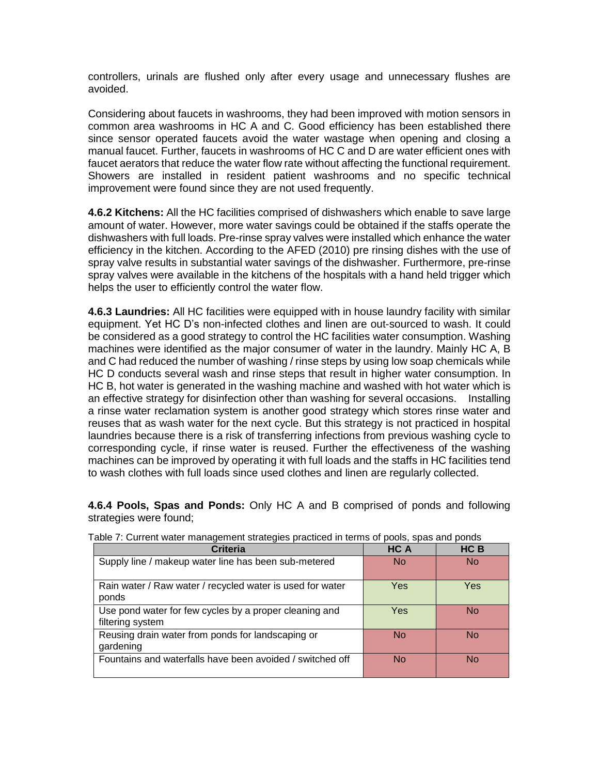controllers, urinals are flushed only after every usage and unnecessary flushes are avoided.

Considering about faucets in washrooms, they had been improved with motion sensors in common area washrooms in HC A and C. Good efficiency has been established there since sensor operated faucets avoid the water wastage when opening and closing a manual faucet. Further, faucets in washrooms of HC C and D are water efficient ones with faucet aerators that reduce the water flow rate without affecting the functional requirement. Showers are installed in resident patient washrooms and no specific technical improvement were found since they are not used frequently.

**4.6.2 Kitchens:** All the HC facilities comprised of dishwashers which enable to save large amount of water. However, more water savings could be obtained if the staffs operate the dishwashers with full loads. Pre-rinse spray valves were installed which enhance the water efficiency in the kitchen. According to the AFED (2010) pre rinsing dishes with the use of spray valve results in substantial water savings of the dishwasher. Furthermore, pre-rinse spray valves were available in the kitchens of the hospitals with a hand held trigger which helps the user to efficiently control the water flow.

**4.6.3 Laundries:** All HC facilities were equipped with in house laundry facility with similar equipment. Yet HC D's non-infected clothes and linen are out-sourced to wash. It could be considered as a good strategy to control the HC facilities water consumption. Washing machines were identified as the major consumer of water in the laundry. Mainly HC A, B and C had reduced the number of washing / rinse steps by using low soap chemicals while HC D conducts several wash and rinse steps that result in higher water consumption. In HC B, hot water is generated in the washing machine and washed with hot water which is an effective strategy for disinfection other than washing for several occasions. Installing a rinse water reclamation system is another good strategy which stores rinse water and reuses that as wash water for the next cycle. But this strategy is not practiced in hospital laundries because there is a risk of transferring infections from previous washing cycle to corresponding cycle, if rinse water is reused. Further the effectiveness of the washing machines can be improved by operating it with full loads and the staffs in HC facilities tend to wash clothes with full loads since used clothes and linen are regularly collected.

**4.6.4 Pools, Spas and Ponds:** Only HC A and B comprised of ponds and following strategies were found;

| <b>Criteria</b>                                                            | HC A       | HC B      |
|----------------------------------------------------------------------------|------------|-----------|
| Supply line / makeup water line has been sub-metered                       | No.        | No.       |
| Rain water / Raw water / recycled water is used for water<br>ponds         | <b>Yes</b> | Yes       |
| Use pond water for few cycles by a proper cleaning and<br>filtering system | <b>Yes</b> | <b>No</b> |
| Reusing drain water from ponds for landscaping or<br>gardening             | <b>No</b>  | <b>No</b> |
| Fountains and waterfalls have been avoided / switched off                  | <b>No</b>  | <b>No</b> |

Table 7: Current water management strategies practiced in terms of pools, spas and ponds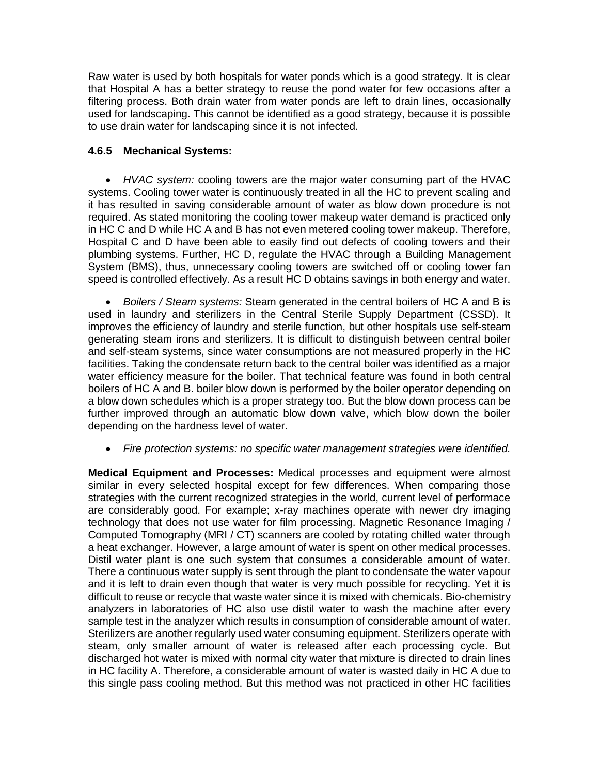Raw water is used by both hospitals for water ponds which is a good strategy. It is clear that Hospital A has a better strategy to reuse the pond water for few occasions after a filtering process. Both drain water from water ponds are left to drain lines, occasionally used for landscaping. This cannot be identified as a good strategy, because it is possible to use drain water for landscaping since it is not infected.

# **4.6.5 Mechanical Systems:**

 *HVAC system:* cooling towers are the major water consuming part of the HVAC systems. Cooling tower water is continuously treated in all the HC to prevent scaling and it has resulted in saving considerable amount of water as blow down procedure is not required. As stated monitoring the cooling tower makeup water demand is practiced only in HC C and D while HC A and B has not even metered cooling tower makeup. Therefore, Hospital C and D have been able to easily find out defects of cooling towers and their plumbing systems. Further, HC D, regulate the HVAC through a Building Management System (BMS), thus, unnecessary cooling towers are switched off or cooling tower fan speed is controlled effectively. As a result HC D obtains savings in both energy and water.

 *Boilers / Steam systems:* Steam generated in the central boilers of HC A and B is used in laundry and sterilizers in the Central Sterile Supply Department (CSSD). It improves the efficiency of laundry and sterile function, but other hospitals use self-steam generating steam irons and sterilizers. It is difficult to distinguish between central boiler and self-steam systems, since water consumptions are not measured properly in the HC facilities. Taking the condensate return back to the central boiler was identified as a major water efficiency measure for the boiler. That technical feature was found in both central boilers of HC A and B. boiler blow down is performed by the boiler operator depending on a blow down schedules which is a proper strategy too. But the blow down process can be further improved through an automatic blow down valve, which blow down the boiler depending on the hardness level of water.

### *Fire protection systems: no specific water management strategies were identified.*

**Medical Equipment and Processes:** Medical processes and equipment were almost similar in every selected hospital except for few differences. When comparing those strategies with the current recognized strategies in the world, current level of performace are considerably good. For example; x-ray machines operate with newer dry imaging technology that does not use water for film processing. Magnetic Resonance Imaging / Computed Tomography (MRI / CT) scanners are cooled by rotating chilled water through a heat exchanger. However, a large amount of water is spent on other medical processes. Distil water plant is one such system that consumes a considerable amount of water. There a continuous water supply is sent through the plant to condensate the water vapour and it is left to drain even though that water is very much possible for recycling. Yet it is difficult to reuse or recycle that waste water since it is mixed with chemicals. Bio-chemistry analyzers in laboratories of HC also use distil water to wash the machine after every sample test in the analyzer which results in consumption of considerable amount of water. Sterilizers are another regularly used water consuming equipment. Sterilizers operate with steam, only smaller amount of water is released after each processing cycle. But discharged hot water is mixed with normal city water that mixture is directed to drain lines in HC facility A. Therefore, a considerable amount of water is wasted daily in HC A due to this single pass cooling method. But this method was not practiced in other HC facilities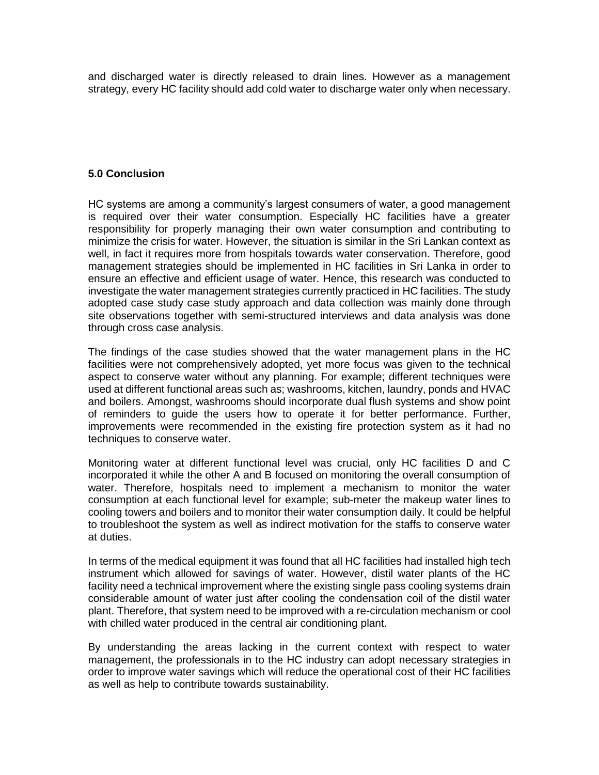and discharged water is directly released to drain lines. However as a management strategy, every HC facility should add cold water to discharge water only when necessary.

#### **5.0 Conclusion**

HC systems are among a community's largest consumers of water, a good management is required over their water consumption. Especially HC facilities have a greater responsibility for properly managing their own water consumption and contributing to minimize the crisis for water. However, the situation is similar in the Sri Lankan context as well, in fact it requires more from hospitals towards water conservation. Therefore, good management strategies should be implemented in HC facilities in Sri Lanka in order to ensure an effective and efficient usage of water. Hence, this research was conducted to investigate the water management strategies currently practiced in HC facilities. The study adopted case study case study approach and data collection was mainly done through site observations together with semi-structured interviews and data analysis was done through cross case analysis.

The findings of the case studies showed that the water management plans in the HC facilities were not comprehensively adopted, yet more focus was given to the technical aspect to conserve water without any planning. For example; different techniques were used at different functional areas such as; washrooms, kitchen, laundry, ponds and HVAC and boilers. Amongst, washrooms should incorporate dual flush systems and show point of reminders to guide the users how to operate it for better performance. Further, improvements were recommended in the existing fire protection system as it had no techniques to conserve water.

Monitoring water at different functional level was crucial, only HC facilities D and C incorporated it while the other A and B focused on monitoring the overall consumption of water. Therefore, hospitals need to implement a mechanism to monitor the water consumption at each functional level for example; sub-meter the makeup water lines to cooling towers and boilers and to monitor their water consumption daily. It could be helpful to troubleshoot the system as well as indirect motivation for the staffs to conserve water at duties.

In terms of the medical equipment it was found that all HC facilities had installed high tech instrument which allowed for savings of water. However, distil water plants of the HC facility need a technical improvement where the existing single pass cooling systems drain considerable amount of water just after cooling the condensation coil of the distil water plant. Therefore, that system need to be improved with a re-circulation mechanism or cool with chilled water produced in the central air conditioning plant.

By understanding the areas lacking in the current context with respect to water management, the professionals in to the HC industry can adopt necessary strategies in order to improve water savings which will reduce the operational cost of their HC facilities as well as help to contribute towards sustainability.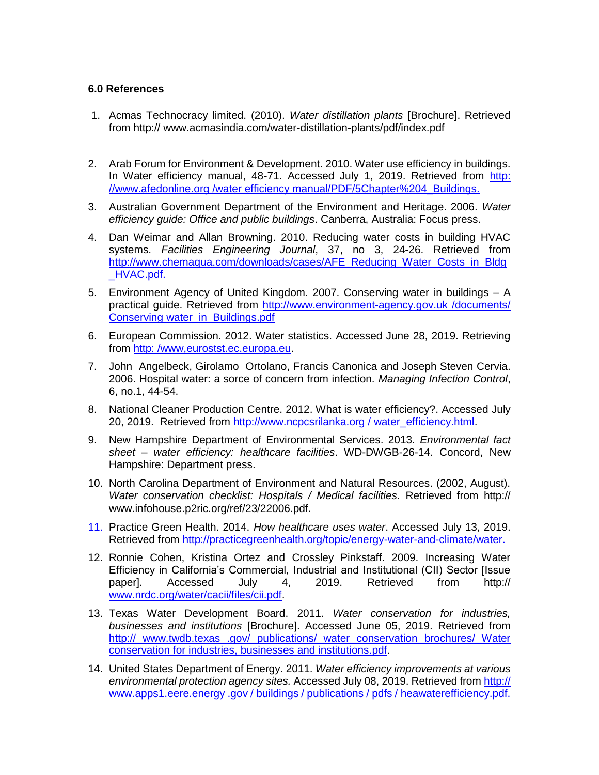### **6.0 References**

- 1. Acmas Technocracy limited. (2010). *Water distillation plants* [Brochure]. Retrieved from http:// www.acmasindia.com/water-distillation-plants/pdf/index.pdf
- 2. Arab Forum for Environment & Development. 2010. Water use efficiency in buildings. In Water efficiency manual, 48-71. Accessed July 1, 2019. Retrieved from http: //www.afedonline.org /water efficiency manual/PDF/5Chapter%204\_Buildings.
- 3. Australian Government Department of the Environment and Heritage. 2006. *Water efficiency guide: Office and public buildings*. Canberra, Australia: Focus press.
- 4. Dan Weimar and Allan Browning. 2010. Reducing water costs in building HVAC systems. *Facilities Engineering Journal*, 37, no 3, 24-26. Retrieved from http://www.chemaqua.com/downloads/cases/AFE\_Reducing\_Water\_Costs\_in\_Bldg \_HVAC.pdf.
- 5. Environment Agency of United Kingdom. 2007. Conserving water in buildings A practical guide. Retrieved from http://www.environment-agency.gov.uk /documents/ Conserving water\_in\_Buildings.pdf
- 6. European Commission. 2012. Water statistics. Accessed June 28, 2019. Retrieving from http: /www,eurostst.ec.europa.eu.
- 7. John Angelbeck, Girolamo Ortolano, [Francis Canonica](https://www.researchgate.net/scientific-contributions/39493261_Francis_P_Canonica?_sg%5B0%5D=i6LAPwBeYtY_v5CzaVbfC3_ExQZi9gxCTN6P1YVzlF24u9QM4x1e6PFeWUWkoUjKHVnzCTA.nmi8lz0M1CiM8Qsvkx_MteGxgH31CLH-YEVkHJlS-288zsvDRZLObK9earXjOriOYwwqPwTyfbS2J8I77QFlUg&_sg%5B1%5D=pE-kbUpDRKhFYaHOzqd9XAhilBG-gr0rke3O8rBqTWrgBzrwCeYr8sRuQJ937wEixvgo8aRvHS2bAssI.1BF3ZnVnztmCkrpYwbY48_YZuWGksbNBvttE397f1T_3e_8LnBS-UkH5SQ93qt_jgP9NHv5QnKK2pBpmup2stQ) and [Joseph Steven Cervia.](https://www.researchgate.net/profile/Joseph_Cervia?_sg%5B0%5D=i6LAPwBeYtY_v5CzaVbfC3_ExQZi9gxCTN6P1YVzlF24u9QM4x1e6PFeWUWkoUjKHVnzCTA.nmi8lz0M1CiM8Qsvkx_MteGxgH31CLH-YEVkHJlS-288zsvDRZLObK9earXjOriOYwwqPwTyfbS2J8I77QFlUg&_sg%5B1%5D=pE-kbUpDRKhFYaHOzqd9XAhilBG-gr0rke3O8rBqTWrgBzrwCeYr8sRuQJ937wEixvgo8aRvHS2bAssI.1BF3ZnVnztmCkrpYwbY48_YZuWGksbNBvttE397f1T_3e_8LnBS-UkH5SQ93qt_jgP9NHv5QnKK2pBpmup2stQ) 2006. Hospital water: a sorce of concern from infection. *Managing Infection Control*, 6, no.1, 44-54.
- 8. National Cleaner Production Centre. 2012. What is water efficiency?. Accessed July 20, 2019. Retrieved from http://www.ncpcsrilanka.org / water\_efficiency.html.
- 9. New Hampshire Department of Environmental Services. 2013. *Environmental fact sheet – water efficiency: healthcare facilities*. WD-DWGB-26-14. Concord, New Hampshire: Department press.
- 10. North Carolina Department of Environment and Natural Resources. (2002, August). *Water conservation checklist: Hospitals / Medical facilities.* Retrieved from http:// www.infohouse.p2ric.org/ref/23/22006.pdf.
- 11. Practice Green Health. 2014. *How healthcare uses water*. Accessed July 13, 2019. Retrieved from [http://practicegreenhealth.org/topic/energy-water-and-climate/water.](http://practicegreenhealth.org/topic/energy-water-and-climate/water)
- 12. Ronnie Cohen, Kristina Ortez and Crossley Pinkstaff. 2009. Increasing Water Efficiency in California's Commercial, Industrial and Institutional (CII) Sector [Issue paper]. Accessed July 4, 2019. Retrieved from http:// [www.nrdc.org/water/cacii/files/cii.pdf.](http://www.nrdc.org/water/cacii/files/cii.pdf)
- 13. Texas Water Development Board. 2011. *Water conservation for industries, businesses and institutions* [Brochure]. Accessed June 05, 2019. Retrieved from http:// www.twdb.texas .gov/ publications/ water conservation brochures/ Water conservation for industries, businesses and institutions.pdf.
- 14. United States Department of Energy. 2011. *Water efficiency improvements at various environmental protection agency sites.* Accessed July 08, 2019. Retrieved from http:// www.apps1.eere.energy .gov / buildings / publications / pdfs / heawaterefficiency.pdf.